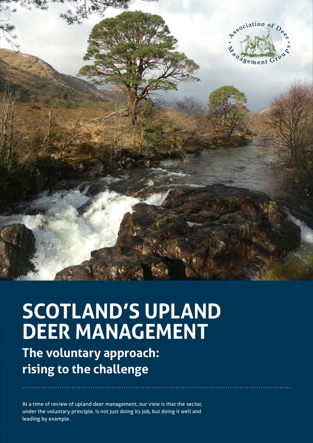

# **SCOTLAND'S UPLAND DEER MANAGEMENT**

**The voluntary approach: rising to the challenge**

At a time of review of upland deer management, our view is that the sector, under the voluntary principle, is not just doing its job, but doing it well and leading by example.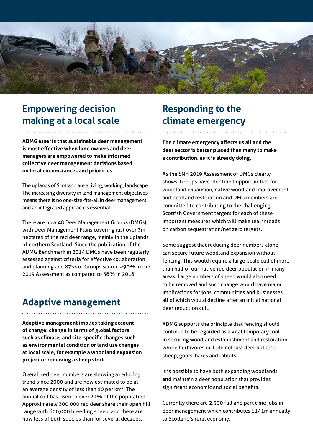

#### **Empowering decision making at a local scale**

**ADMG asserts that sustainable deer management is most effective when land owners and deer managers are empowered to make informed collective deer management decisions based on local circumstances and priorities.** 

The uplands of Scotland are a living, working, landscape. The increasing diversity in land management objectives means there is no one-size-fits-all in deer management and an integrated approach is essential.

There are now 48 Deer Management Groups (DMGs) with Deer Management Plans covering just over 3m hectares of the red deer range, mainly in the uplands of northern Scotland. Since the publication of the ADMG Benchmark in 2014 DMGs have been regularly assessed against criteria for effective collaboration and planning and 87% of Groups scored >90% in the 2019 Assessment as compared to 36% in 2016.

#### **Adaptive management**

**Adaptive management implies taking account of change: change in terms of global factors such as climate; and site-specific changes such as environmental condition or land use changes at local scale, for example a woodland expansion project or removing a sheep stock.**

Overall red deer numbers are showing a reducing trend since 2000 and are now estimated to be at an average density of less than 10 per km<sup>2</sup>. The annual cull has risen to over 22% of the population. Approximately 300,000 red deer share their open hill range with 600,000 breeding sheep, and there are now less of both species than for several decades.

#### **Responding to the climate emergency**

**The climate emergency affects us all and the deer sector is better placed than many to make a contribution, as it is already doing.** 

As the SNH 2019 Assessment of DMGs clearly shows, Groups have identified opportunities for woodland expansion, native woodland improvement and peatland restoration and DMG members are committed to contributing to the challenging Scottish Government targets for each of these important measures which will make real inroads on carbon sequestration/net zero targets.

Some suggest that reducing deer numbers alone can secure future woodland expansion without fencing. This would require a large-scale cull of more than half of our native red deer population in many areas. Large numbers of sheep would also need to be removed and such change would have major implications for jobs, communities and businesses, all of which would decline after an initial national deer reduction cull.

ADMG supports the principle that fencing should continue to be regarded as a vital temporary tool in securing woodland establishment and restoration where herbivores include not just deer but also sheep, goats, hares and rabbits.

It is possible to have both expanding woodlands **and** maintain a deer population that provides significant economic and social benefits.

Currently there are 2,500 full and part time jobs in deer management which contributes £141m annually to Scotland's rural economy.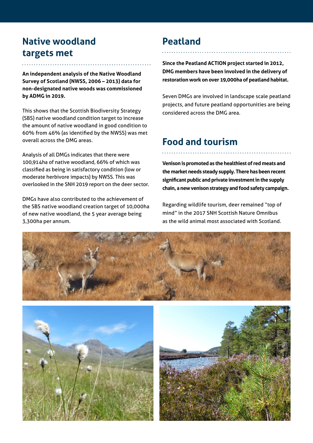### **Native woodland targets met**

**An independent analysis of the Native Woodland Survey of Scotland (NWSS, 2006 – 2013) data for non-designated native woods was commissioned by ADMG in 2019.**

This shows that the Scottish Biodiversity Strategy (SBS) native woodland condition target to increase the amount of native woodland in good condition to 60% from 46% (as identified by the NWSS) was met overall across the DMG areas.

Analysis of all DMGs indicates that there were 100,914ha of native woodland, 66% of which was classified as being in satisfactory condition (low or moderate herbivore impacts) by NWSS. This was overlooked in the SNH 2019 report on the deer sector.

DMGs have also contributed to the achievement of the SBS native woodland creation target of 10,000ha of new native woodland, the 5 year average being 3,300ha per annum.

## **Peatland**

**Since the Peatland ACTION project started in 2012, DMG members have been involved in the delivery of restoration work on over 19,000ha of peatland habitat.** 

Seven DMGs are involved in landscape scale peatland projects, and future peatland opportunities are being considered across the DMG area.

#### **Food and tourism**

**Venison is promoted as the healthiest of red meats and the market needs steady supply. There has been recent significant public and private investment in the supply chain, a new venison strategy and food safety campaign.**

Regarding wildlife tourism, deer remained "top of mind" in the 2017 SNH Scottish Nature Omnibus as the wild animal most associated with Scotland.